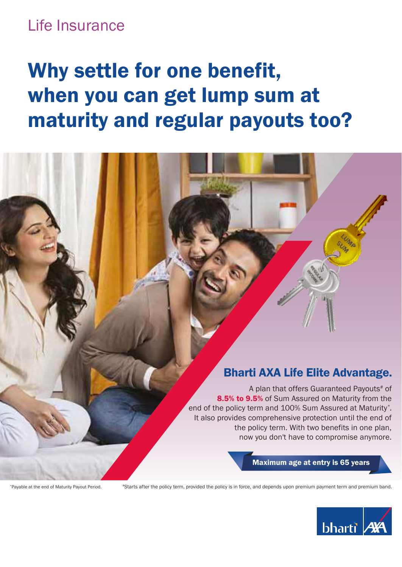## Life Insurance

# Why settle for one benefit, when you can get lump sum at maturity and regular payouts too?

### Bharti AXA Life Elite Advantage.

A plan that offers Guaranteed Payouts# of 8.5% to 9.5% of Sum Assured on Maturity from the end of the policy term and 100% Sum Assured at Maturity\* . It also provides comprehensive protection until the end of the policy term. With two benefits in one plan, now you don't have to compromise anymore.

#### Maximum age at entry is 65 years

\*Payable at the end of Maturity Payout Period.

#Starts after the policy term, provided the policy is in force, and depends upon premium payment term and premium band.

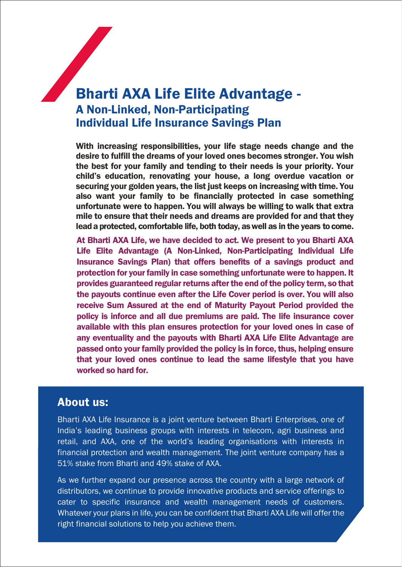### Bharti AXA Life Elite Advantage - A Non-Linked, Non-Participating Individual Life Insurance Savings Plan

With increasing responsibilities, your life stage needs change and the desire to fulfill the dreams of your loved ones becomes stronger. You wish the best for your family and tending to their needs is your priority. Your child's education, renovating your house, a long overdue vacation or securing your golden years, the list just keeps on increasing with time. You also want your family to be financially protected in case something unfortunate were to happen. You will always be willing to walk that extra mile to ensure that their needs and dreams are provided for and that they lead a protected, comfortable life, both today, as well as in the years to come.

At Bharti AXA Life, we have decided to act. We present to you Bharti AXA Life Elite Advantage (A Non-Linked, Non-Participating Individual Life Insurance Savings Plan) that offers benefits of a savings product and protection for your family in case something unfortunate were to happen. It provides guaranteed regular returns after the end of the policy term, so that the payouts continue even after the Life Cover period is over. You will also receive Sum Assured at the end of Maturity Payout Period provided the policy is inforce and all due premiums are paid. The life insurance cover available with this plan ensures protection for your loved ones in case of any eventuality and the payouts with Bharti AXA Life Elite Advantage are passed onto your family provided the policy is in force, thus, helping ensure that your loved ones continue to lead the same lifestyle that you have worked so hard for.

#### About us:

Bharti AXA Life Insurance is a joint venture between Bharti Enterprises, one of India's leading business groups with interests in telecom, agri business and retail, and AXA, one of the world's leading organisations with interests in financial protection and wealth management. The joint venture company has a 51% stake from Bharti and 49% stake of AXA.

As we further expand our presence across the country with a large network of distributors, we continue to provide innovative products and service offerings to cater to specific insurance and wealth management needs of customers. Whatever your plans in life, you can be confident that Bharti AXA Life will offer the right financial solutions to help you achieve them.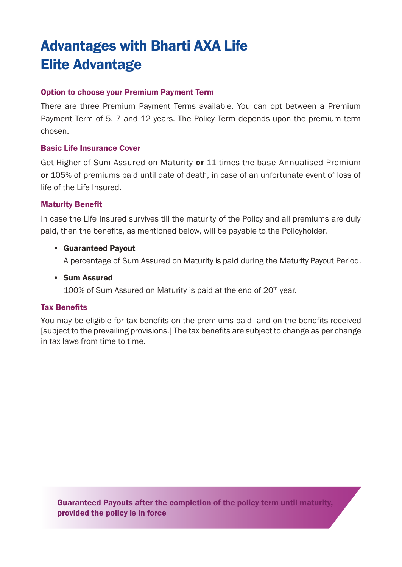## Advantages with Bharti AXA Life Elite Advantage

#### Option to choose your Premium Payment Term

There are three Premium Payment Terms available. You can opt between a Premium Payment Term of 5, 7 and 12 years. The Policy Term depends upon the premium term chosen.

#### Basic Life Insurance Cover

Get Higher of Sum Assured on Maturity or 11 times the base Annualised Premium or 105% of premiums paid until date of death, in case of an unfortunate event of loss of life of the Life Insured.

#### Maturity Benefit

In case the Life Insured survives till the maturity of the Policy and all premiums are duly paid, then the benefits, as mentioned below, will be payable to the Policyholder.

#### • Guaranteed Payout

A percentage of Sum Assured on Maturity is paid during the Maturity Payout Period.

#### • Sum Assured

100% of Sum Assured on Maturity is paid at the end of  $20<sup>th</sup>$  year.

#### Tax Benefits

You may be eligible for tax benefits on the premiums paid and on the benefits received [subject to the prevailing provisions.] The tax benefits are subject to change as per change in tax laws from time to time.

Guaranteed Payouts after the completion of the policy term until maturity, provided the policy is in force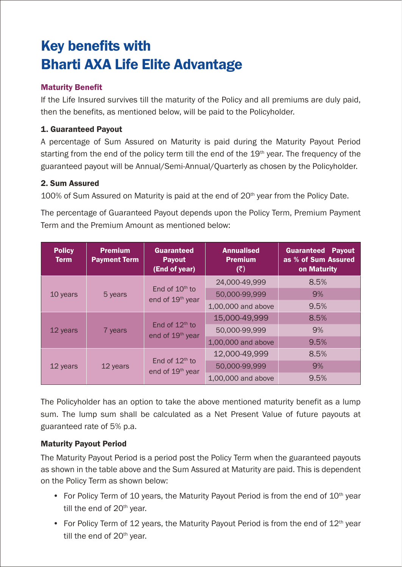## Key benefits with Bharti AXA Life Elite Advantage

#### Maturity Benefit

If the Life Insured survives till the maturity of the Policy and all premiums are duly paid, then the benefits, as mentioned below, will be paid to the Policyholder.

#### 1. Guaranteed Payout

A percentage of Sum Assured on Maturity is paid during the Maturity Payout Period starting from the end of the policy term till the end of the  $19<sup>th</sup>$  year. The frequency of the guaranteed payout will be Annual/Semi-Annual/Quarterly as chosen by the Policyholder.

#### 2. Sum Assured

 $100\%$  of Sum Assured on Maturity is paid at the end of  $20<sup>th</sup>$  year from the Policy Date.

The percentage of Guaranteed Payout depends upon the Policy Term, Premium Payment Term and the Premium Amount as mentioned below:

| <b>Policy</b><br><b>Term</b> | <b>Premium</b><br><b>Payment Term</b> | <b>Guaranteed</b><br><b>Payout</b><br>(End of year) | <b>Annualised</b><br><b>Premium</b><br>(₹) | <b>Guaranteed Payout</b><br>as % of Sum Assured<br>on Maturity |
|------------------------------|---------------------------------------|-----------------------------------------------------|--------------------------------------------|----------------------------------------------------------------|
| 10 years                     | 5 years                               | End of $10th$ to<br>end of 19 <sup>th</sup> year    | 24,000-49,999                              | 8.5%                                                           |
|                              |                                       |                                                     | 50,000-99,999                              | 9%                                                             |
|                              |                                       |                                                     | 1,00,000 and above                         | 9.5%                                                           |
| 12 years                     | 7 years                               | End of $12th$ to<br>end of 19 <sup>th</sup> year    | 15,000-49,999                              | 8.5%                                                           |
|                              |                                       |                                                     | 50,000-99,999                              | 9%                                                             |
|                              |                                       |                                                     | 1,00,000 and above                         | 9.5%                                                           |
| 12 years                     | 12 years                              | End of $12th$ to<br>end of 19 <sup>th</sup> year    | 12.000-49.999                              | 8.5%                                                           |
|                              |                                       |                                                     | 50.000-99.999                              | 9%                                                             |
|                              |                                       |                                                     | 1.00.000 and above                         | 9.5%                                                           |

The Policyholder has an option to take the above mentioned maturity benefit as a lump sum. The lump sum shall be calculated as a Net Present Value of future payouts at guaranteed rate of 5% p.a.

#### Maturity Payout Period

The Maturity Payout Period is a period post the Policy Term when the guaranteed payouts as shown in the table above and the Sum Assured at Maturity are paid. This is dependent on the Policy Term as shown below:

- For Policy Term of 10 years, the Maturity Payout Period is from the end of  $10<sup>th</sup>$  year till the end of  $20<sup>th</sup>$  year.
- For Policy Term of 12 years, the Maturity Payout Period is from the end of  $12<sup>th</sup>$  year till the end of 20<sup>th</sup> year.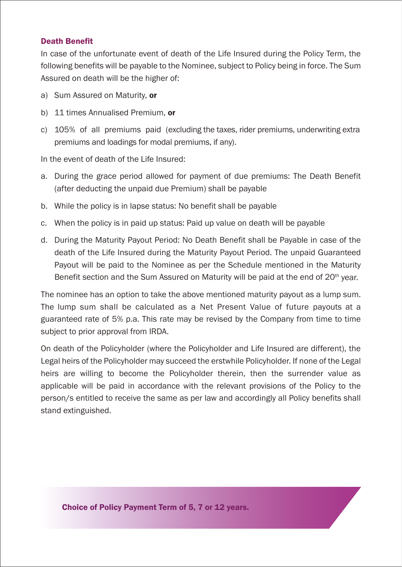#### Death Benefit

In case of the unfortunate event of death of the Life Insured during the Policy Term, the following benefits will be payable to the Nominee, subject to Policy being in force. The Sum Assured on death will be the higher of:

- a) Sum Assured on Maturity, or
- b) 11 times Annualised Premium. or
- c) 105% of all premiums paid (excluding the taxes, rider premiums, underwriting extra premiums and loadings for modal premiums, if any).

In the event of death of the Life Insured:

- a. During the grace period allowed for payment of due premiums: The Death Benefit (after deducting the unpaid due Premium) shall be payable
- b. While the policy is in lapse status: No benefit shall be payable
- c. When the policy is in paid up status: Paid up value on death will be payable
- d. During the Maturity Payout Period: No Death Benefit shall be Payable in case of the death of the Life Insured during the Maturity Payout Period. The unpaid Guaranteed Payout will be paid to the Nominee as per the Schedule mentioned in the Maturity Benefit section and the Sum Assured on Maturity will be paid at the end of 20<sup>th</sup> year.

The nominee has an option to take the above mentioned maturity payout as a lump sum. The lump sum shall be calculated as a Net Present Value of future payouts at a guaranteed rate of 5% p.a. This rate may be revised by the Company from time to time subject to prior approval from IRDA.

On death of the Policyholder (where the Policyholder and Life Insured are different), the Legal heirs of the Policyholder may succeed the erstwhile Policyholder. If none of the Legal heirs are willing to become the Policyholder therein, then the surrender value as applicable will be paid in accordance with the relevant provisions of the Policy to the person/s entitled to receive the same as per law and accordingly all Policy benefits shall stand extinguished.

Choice of Policy Payment Term of 5, 7 or 12 years.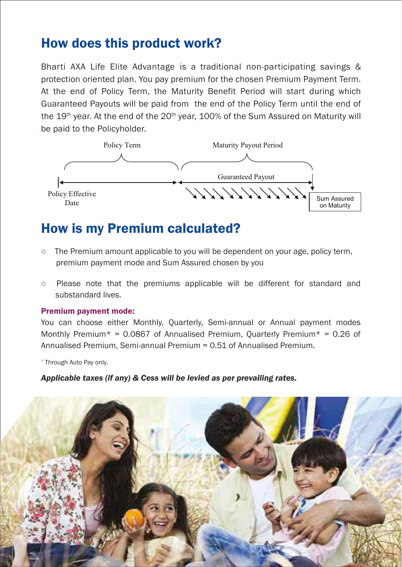### How does this product work?

Bharti AXA Life Elite Advantage is a traditional non-participating savings & protection oriented plan. You pay premium for the chosen Premium Payment Term. At the end of Policy Term, the Maturity Benefit Period will start during which Guaranteed Payouts will be paid from the end of the Policy Term until the end of the  $19<sup>th</sup>$  year. At the end of the  $20<sup>th</sup>$  year,  $100%$  of the Sum Assured on Maturity will be paid to the Policyholder.



### How is my Premium calculated?

- o The Premium amount applicable to you will be dependent on your age, policy term, premium payment mode and Sum Assured chosen by you
- $\circ$  Please note that the premiums applicable will be different for standard and substandard lives.

#### Premium payment mode:

You can choose either Monthly, Quarterly, Semi-annual or Annual payment modes Monthly Premium\* = 0.0867 of Annualised Premium, Quarterly Premium\* = 0.26 of Annualised Premium, Semi-annual Premium = 0.51 of Annualised Premium.

\* Through Auto Pay only.

#### *Applicable taxes (if any) & Cess will be levied as per prevailing rates.*

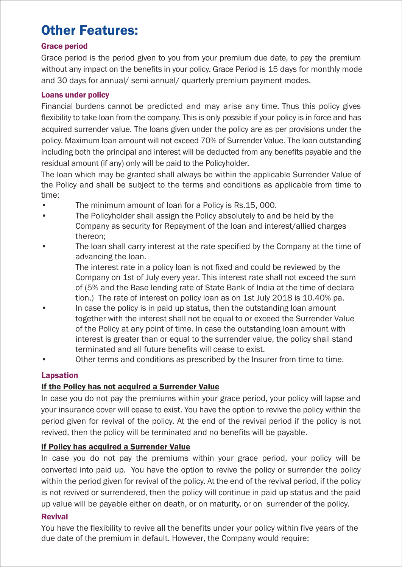## Other Features:

#### Grace period

Grace period is the period given to you from your premium due date, to pay the premium and 30 days for annual/ semi-annual/ quarterly premium payment modes. without any impact on the benefits in your policy. Grace Period is 15 days for monthly mode

#### Loans under policy

Financial burdens cannot be predicted and may arise any time. Thus this policy gives flexibility to take loan from the company. This is only possible if your policy is in force and has acquired surrender value. The loans given under the policy are as per provisions under the policy. Maximum loan amount will not exceed 70% of Surrender Value. The loan outstanding including both the principal and interest will be deducted from any benefits payable and the residual amount (if any) only will be paid to the Policyholder.

The loan which may be granted shall always be within the applicable Surrender Value of the Policy and shall be subject to the terms and conditions as applicable from time to time:

- The minimum amount of loan for a Policy is Rs.15, 000.
- The Policyholder shall assign the Policy absolutely to and be held by the Company as security for Repayment of the loan and interest/allied charges thereon;
- The loan shall carry interest at the rate specified by the Company at the time of advancing the loan.

 The interest rate in a policy loan is not fixed and could be reviewed by the Company on 1st of July every year. This interest rate shall not exceed the sum of (5% and the Base lending rate of State Bank of India at the time of declara tion.) The rate of interest on policy loan as on 1st July 2018 is 10.40% pa.

- In case the policy is in paid up status, then the outstanding loan amount together with the interest shall not be equal to or exceed the Surrender Value of the Policy at any point of time. In case the outstanding loan amount with interest is greater than or equal to the surrender value, the policy shall stand terminated and all future benefits will cease to exist.
- Other terms and conditions as prescribed by the Insurer from time to time.

#### Lapsation

#### If the Policy has not acquired a Surrender Value

In case you do not pay the premiums within your grace period, your policy will lapse and your insurance cover will cease to exist. You have the option to revive the policy within the period given for revival of the policy. At the end of the revival period if the policy is not revived, then the policy will be terminated and no benefits will be payable.

#### If Policy has acquired a Surrender Value

In case you do not pay the premiums within your grace period, your policy will be converted into paid up. You have the option to revive the policy or surrender the policy within the period given for revival of the policy. At the end of the revival period, if the policy is not revived or surrendered, then the policy will continue in paid up status and the paid up value will be payable either on death, or on maturity, or on surrender of the policy.

#### Revival

You have the flexibility to revive all the benefits under your policy within five years of the due date of the premium in default. However, the Company would require: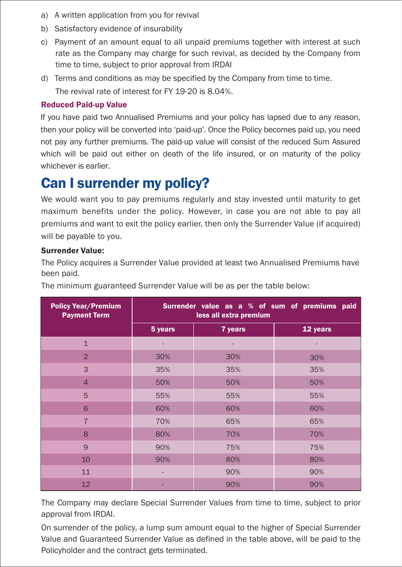- a) A written application from you for revival
- b) Satisfactory evidence of insurability
- c) Payment of an amount equal to all unpaid premiums together with interest at such rate as the Company may charge for such revival, as decided by the Company from time to time, subject to prior approval from IRDAI
- The revival rate of interest for FY 19-20 is 8.04%. d) Terms and conditions as may be specified by the Company from time to time.

#### Reduced Paid-up Value

If you have paid two Annualised Premiums and your policy has lapsed due to any reason, then your policy will be converted into 'paid-up'. Once the Policy becomes paid up, you need not pay any further premiums. The paid-up value will consist of the reduced Sum Assured which will be paid out either on death of the life insured, or on maturity of the policy whichever is earlier.

### Can I surrender my policy?

We would want you to pay premiums regularly and stay invested until maturity to get maximum benefits under the policy. However, in case you are not able to pay all premiums and want to exit the policy earlier, then only the Surrender Value (if acquired) will be payable to you.

#### Surrender Value:

The Policy acquires a Surrender Value provided at least two Annualised Premiums have been paid.

The minimum guaranteed Surrender Value will be as per the table below:

| <b>Policy Year/Premium</b><br><b>Payment Term</b> | Surrender value as a % of sum of premiums paid<br>less all extra premium |         |          |  |
|---------------------------------------------------|--------------------------------------------------------------------------|---------|----------|--|
|                                                   | 5 years                                                                  | 7 years | 12 years |  |
| $\overline{1}$                                    |                                                                          |         |          |  |
| $\overline{2}$                                    | 30%                                                                      | 30%     | 30%      |  |
| 3                                                 | 35%                                                                      | 35%     | 35%      |  |
| $\overline{4}$                                    | 50%                                                                      | 50%     | 50%      |  |
| 5                                                 | 55%                                                                      | 55%     | 55%      |  |
| 6                                                 | 60%                                                                      | 60%     | 60%      |  |
| $\overline{7}$                                    | 70%                                                                      | 65%     | 65%      |  |
| 8                                                 | 80%                                                                      | 70%     | 70%      |  |
| 9                                                 | 90%                                                                      | 75%     | 75%      |  |
| 10                                                | 90%                                                                      | 80%     | 80%      |  |
| 11                                                |                                                                          | 90%     | 90%      |  |
| 12                                                |                                                                          | 90%     | 90%      |  |

The Company may declare Special Surrender Values from time to time, subject to prior approval from IRDAI.

On surrender of the policy, a lump sum amount equal to the higher of Special Surrender Value and Guaranteed Surrender Value as defined in the table above, will be paid to the Policyholder and the contract gets terminated.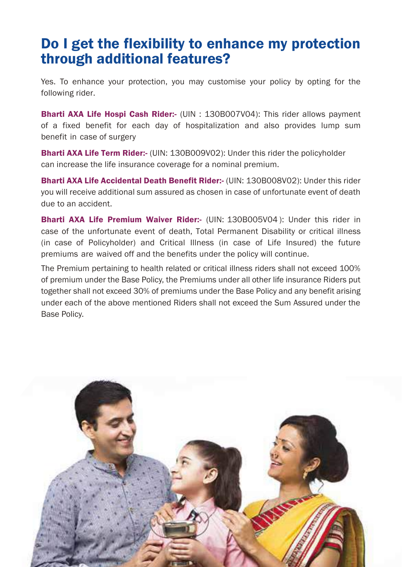### Do I get the flexibility to enhance my protection through additional features?

Yes. To enhance your protection, you may customise your policy by opting for the following rider.

**Bharti AXA Life Hospi Cash Rider:-** (UIN : 130B007V04): This rider allows payment of a fixed benefit for each day of hospitalization and also provides lump sum benefit in case of surgery

**Bharti AXA Life Term Rider:-** (UIN: 130B009V02): Under this rider the policyholder can increase the life insurance coverage for a nominal premium.

Bharti AXA Life Accidental Death Benefit Rider:- (UIN: 130B008V02): Under this rider you will receive additional sum assured as chosen in case of unfortunate event of death due to an accident.

Bharti AXA Life Premium Waiver Rider:- (UIN: 130B005V04 ): Under this rider in case of the unfortunate event of death, Total Permanent Disability or critical illness (in case of Policyholder) and Critical Illness (in case of Life Insured) the future premiums are waived off and the benefits under the policy will continue.

The Premium pertaining to health related or critical illness riders shall not exceed 100% of premium under the Base Policy, the Premiums under all other life insurance Riders put together shall not exceed 30% of premiums under the Base Policy and any benefit arising under each of the above mentioned Riders shall not exceed the Sum Assured under the Base Policy.

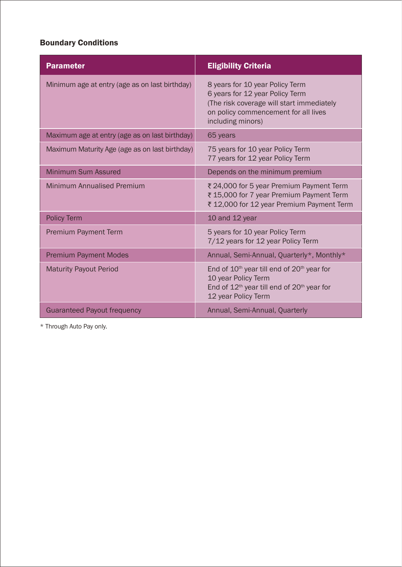#### Boundary Conditions

| <b>Parameter</b>                               | <b>Eligibility Criteria</b>                                                                                                                                                  |  |
|------------------------------------------------|------------------------------------------------------------------------------------------------------------------------------------------------------------------------------|--|
| Minimum age at entry (age as on last birthday) | 8 years for 10 year Policy Term<br>6 years for 12 year Policy Term<br>(The risk coverage will start immediately<br>on policy commencement for all lives<br>including minors) |  |
| Maximum age at entry (age as on last birthday) | 65 years                                                                                                                                                                     |  |
| Maximum Maturity Age (age as on last birthday) | 75 years for 10 year Policy Term<br>77 years for 12 year Policy Term                                                                                                         |  |
| Minimum Sum Assured                            | Depends on the minimum premium                                                                                                                                               |  |
| <b>Minimum Annualised Premium</b>              | ₹ 24,000 for 5 year Premium Payment Term<br>₹ 15,000 for 7 year Premium Payment Term<br>₹ 12,000 for 12 year Premium Payment Term                                            |  |
| <b>Policy Term</b>                             | 10 and 12 year                                                                                                                                                               |  |
| <b>Premium Payment Term</b>                    | 5 years for 10 year Policy Term<br>7/12 years for 12 year Policy Term                                                                                                        |  |
| <b>Premium Payment Modes</b>                   | Annual, Semi-Annual, Quarterly*, Monthly*                                                                                                                                    |  |
| <b>Maturity Payout Period</b>                  | End of $10^{th}$ year till end of $20^{th}$ year for<br>10 year Policy Term<br>End of $12th$ year till end of $20th$ year for<br>12 year Policy Term                         |  |
| <b>Guaranteed Payout frequency</b>             | Annual, Semi-Annual, Quarterly                                                                                                                                               |  |

\* Through Auto Pay only.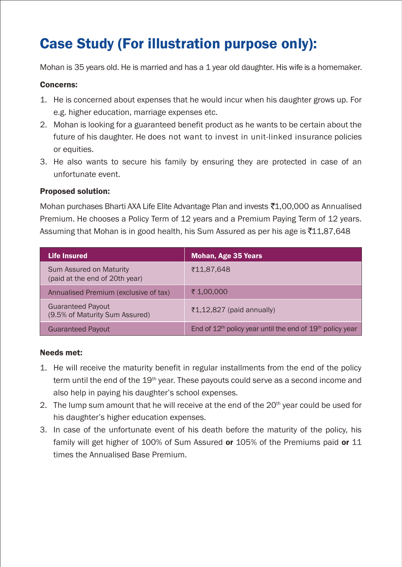## Case Study (For illustration purpose only):

Mohan is 35 years old. He is married and has a 1 year old daughter. His wife is a homemaker.

#### Concerns:

- 1. He is concerned about expenses that he would incur when his daughter grows up. For e.g. higher education, marriage expenses etc.
- 2. Mohan is looking for a guaranteed benefit product as he wants to be certain about the future of his daughter. He does not want to invest in unit-linked insurance policies or equities.
- 3. He also wants to secure his family by ensuring they are protected in case of an unfortunate event.

#### Proposed solution:

Mohan purchases Bharti AXA Life Elite Advantage Plan and invests ₹1,00,000 as Annualised Premium. He chooses a Policy Term of 12 years and a Premium Paying Term of 12 years. Assuming that Mohan is in good health, his Sum Assured as per his age is  $\bar{5}11,87,648$ 

| Life Insured                                               | <b>Mohan, Age 35 Years</b>                                    |
|------------------------------------------------------------|---------------------------------------------------------------|
| Sum Assured on Maturity<br>(paid at the end of 20th year)  | ₹11.87.648                                                    |
| Annualised Premium (exclusive of tax)                      | ₹ 1,00,000                                                    |
| <b>Guaranteed Payout</b><br>(9.5% of Maturity Sum Assured) | ₹1,12,827 (paid annually)                                     |
| <b>Guaranteed Payout</b>                                   | End of $12th$ policy year until the end of $19th$ policy year |

#### Needs met:

- 1. He will receive the maturity benefit in regular installments from the end of the policy term until the end of the  $19<sup>th</sup>$  year. These payouts could serve as a second income and also help in paying his daughter's school expenses.
- 2. The lump sum amount that he will receive at the end of the  $20<sup>th</sup>$  vear could be used for his daughter's higher education expenses.
- 3. In case of the unfortunate event of his death before the maturity of the policy, his family will get higher of 100% of Sum Assured or 105% of the Premiums paid or 11 times the Annualised Base Premium.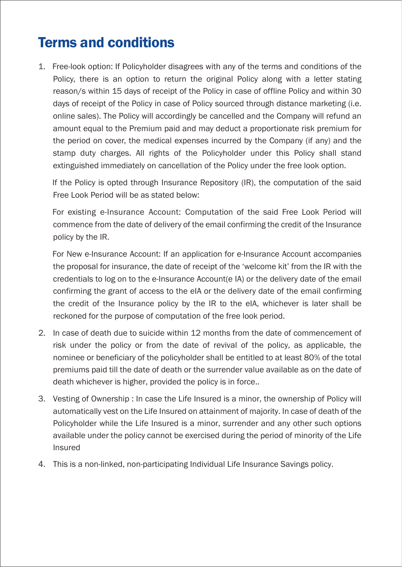## Terms and conditions

1. Free-look option: If Policyholder disagrees with any of the terms and conditions of the Policy, there is an option to return the original Policy along with a letter stating reason/s within 15 days of receipt of the Policy in case of offline Policy and within 30 days of receipt of the Policy in case of Policy sourced through distance marketing (i.e. online sales). The Policy will accordingly be cancelled and the Company will refund an amount equal to the Premium paid and may deduct a proportionate risk premium for the period on cover, the medical expenses incurred by the Company (if any) and the stamp duty charges. All rights of the Policyholder under this Policy shall stand extinguished immediately on cancellation of the Policy under the free look option.

If the Policy is opted through Insurance Repository (IR), the computation of the said Free Look Period will be as stated below:

For existing e-Insurance Account: Computation of the said Free Look Period will commence from the date of delivery of the email confirming the credit of the Insurance policy by the IR.

For New e-Insurance Account: If an application for e-Insurance Account accompanies the proposal for insurance, the date of receipt of the 'welcome kit' from the IR with the credentials to log on to the e-Insurance Account(e IA) or the delivery date of the email confirming the grant of access to the eIA or the delivery date of the email confirming the credit of the Insurance policy by the IR to the eIA, whichever is later shall be reckoned for the purpose of computation of the free look period.

- 2. In case of death due to suicide within 12 months from the date of commencement of risk under the policy or from the date of revival of the policy, as applicable, the nominee or beneficiary of the policyholder shall be entitled to at least 80% of the total premiums paid till the date of death or the surrender value available as on the date of death whichever is higher, provided the policy is in force..
- 3. Vesting of Ownership : In case the Life Insured is a minor, the ownership of Policy will automatically vest on the Life Insured on attainment of majority. In case of death of the Policyholder while the Life Insured is a minor, surrender and any other such options available under the policy cannot be exercised during the period of minority of the Life Insured
- 4. This is a non-linked, non-participating Individual Life Insurance Savings policy.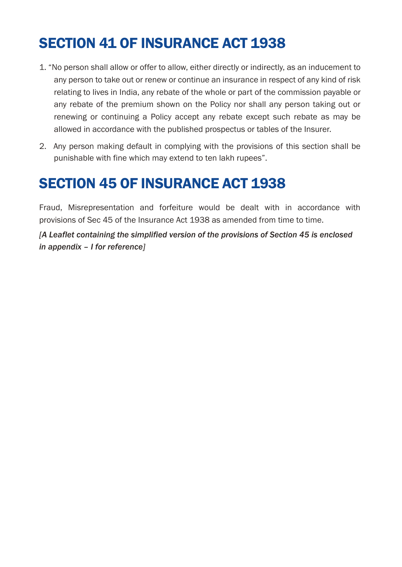## SECTION 41 OF INSURANCE ACT 1938

- 1. "No person shall allow or offer to allow, either directly or indirectly, as an inducement to any person to take out or renew or continue an insurance in respect of any kind of risk relating to lives in India, any rebate of the whole or part of the commission payable or any rebate of the premium shown on the Policy nor shall any person taking out or renewing or continuing a Policy accept any rebate except such rebate as may be allowed in accordance with the published prospectus or tables of the Insurer.
- 2. Any person making default in complying with the provisions of this section shall be punishable with fine which may extend to ten lakh rupees".

## SECTION 45 OF INSURANCE ACT 1938

Fraud, Misrepresentation and forfeiture would be dealt with in accordance with provisions of Sec 45 of the Insurance Act 1938 as amended from time to time.

*[A Leaflet containing the simplified version of the provisions of Section 45 is enclosed in appendix – I for reference]*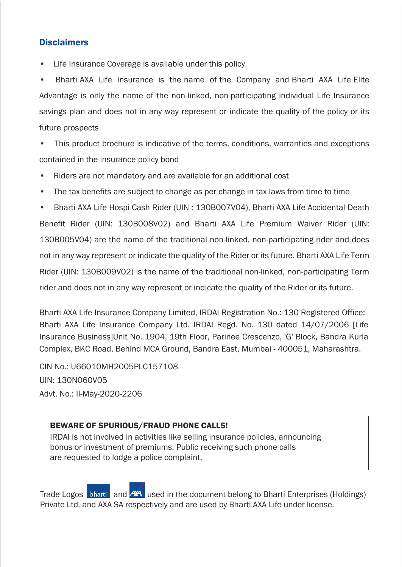#### **Disclaimers**

Life Insurance Coverage is available under this policy

• Bharti AXA Life Insurance is the name of the Company and Bharti AXA Life Elite Advantage is only the name of the non-linked, non-participating individual Life Insurance savings plan and does not in any way represent or indicate the quality of the policy or its future prospects

This product brochure is indicative of the terms, conditions, warranties and exceptions contained in the insurance policy bond

- Riders are not mandatory and are available for an additional cost
- The tax benefits are subject to change as per change in tax laws from time to time

• Bharti AXA Life Hospi Cash Rider (UIN : 130B007V04), Bharti AXA Life Accidental Death Benefit Rider (UIN: 130B008V02) and Bharti AXA Life Premium Waiver Rider (UIN: 130B005V04) are the name of the traditional non-linked, non-participating rider and does not in any way represent or indicate the quality of the Rider or its future. Bharti AXA Life Term Rider (UIN: 130B009V02) is the name of the traditional non-linked, non-participating Term rider and does not in any way represent or indicate the quality of the Rider or its future.

Bharti AXA Life Insurance Company Limited, IRDAI Registration No.: 130 Registered Office: Bharti AXA Life Insurance Company Ltd. IRDAI Regd. No. 130 dated 14/07/2006 [Life Insurance Business]Unit No. 1904, 19th Floor, Parinee Crescenzo, 'G' Block, Bandra Kurla Complex, BKC Road, Behind MCA Ground, Bandra East, Mumbai - 400051, Maharashtra.

CIN No.: U66010MH2005PLC157108 UIN: 130N060V05 Advt. No.: II-May-2020-2206

#### BEWARE OF SPURIOUS/FRAUD PHONE CALLS!

IRDAI is not involved in activities like selling insurance policies, announcing bonus or investment of premiums. Public receiving such phone calls are requested to lodge a police complaint.

Trade Logos bharti and AA used in the document belong to Bharti Enterprises (Holdings) Private Ltd. and AXA SA respectively and are used by Bharti AXA Life under license.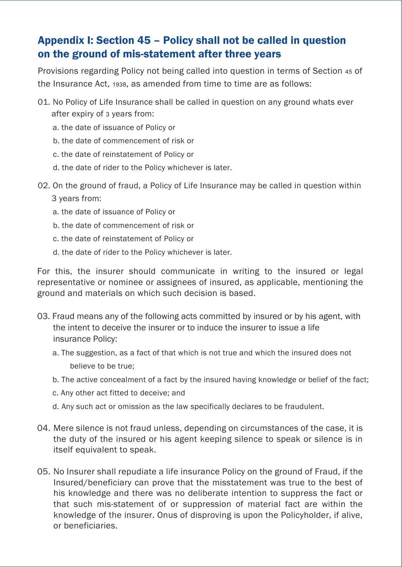### Appendix I: Section 45 – Policy shall not be called in question on the ground of mis-statement after three years

Provisions regarding Policy not being called into question in terms of Section 45 of the Insurance Act, 1938, as amended from time to time are as follows:

- 01. No Policy of Life Insurance shall be called in question on any ground whats ever after expiry of 3 years from:
	- a. the date of issuance of Policy or
	- b. the date of commencement of risk or
	- c. the date of reinstatement of Policy or
	- d. the date of rider to the Policy whichever is later.
- 02. On the ground of fraud, a Policy of Life Insurance may be called in question within
	- 3 years from:
	- a. the date of issuance of Policy or
	- b. the date of commencement of risk or
	- c. the date of reinstatement of Policy or
	- d. the date of rider to the Policy whichever is later.

For this, the insurer should communicate in writing to the insured or legal representative or nominee or assignees of insured, as applicable, mentioning the ground and materials on which such decision is based.

- 03. Fraud means any of the following acts committed by insured or by his agent, with the intent to deceive the insurer or to induce the insurer to issue a life insurance Policy:
	- a. The suggestion, as a fact of that which is not true and which the insured does not believe to be true;
	- b. The active concealment of a fact by the insured having knowledge or belief of the fact;
	- c. Any other act fitted to deceive; and
	- d. Any such act or omission as the law specifically declares to be fraudulent.
- Mere silence is not fraud unless, depending on circumstances of the case, it is 04. the duty of the insured or his agent keeping silence to speak or silence is in itself equivalent to speak.
- 05. No Insurer shall repudiate a life insurance Policy on the ground of Fraud, if the Insured/beneficiary can prove that the misstatement was true to the best of his knowledge and there was no deliberate intention to suppress the fact or that such mis-statement of or suppression of material fact are within the knowledge of the insurer. Onus of disproving is upon the Policyholder, if alive, or beneficiaries.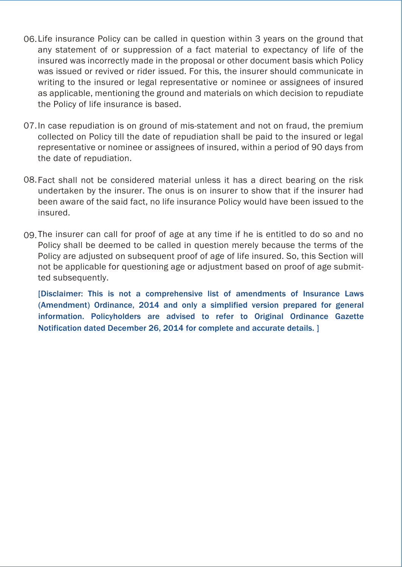- 06. Life insurance Policy can be called in question within 3 years on the ground that any statement of or suppression of a fact material to expectancy of life of the insured was incorrectly made in the proposal or other document basis which Policy was issued or revived or rider issued. For this, the insurer should communicate in writing to the insured or legal representative or nominee or assignees of insured as applicable, mentioning the ground and materials on which decision to repudiate the Policy of life insurance is based.
- 07. In case repudiation is on ground of mis-statement and not on fraud, the premium collected on Policy till the date of repudiation shall be paid to the insured or legal representative or nominee or assignees of insured, within a period of 90 days from the date of repudiation.
- 08.Fact shall not be considered material unless it has a direct bearing on the risk undertaken by the insurer. The onus is on insurer to show that if the insurer had been aware of the said fact, no life insurance Policy would have been issued to the insured.
- The insurer can call for proof of age at any time if he is entitled to do so and no 09.Policy shall be deemed to be called in question merely because the terms of the Policy are adjusted on subsequent proof of age of life insured. So, this Section will not be applicable for questioning age or adjustment based on proof of age submitted subsequently.

[Disclaimer: This is not a comprehensive list of amendments of Insurance Laws (Amendment) Ordinance, 2014 and only a simplified version prepared for general information. Policyholders are advised to refer to Original Ordinance Gazette Notification dated December 26, 2014 for complete and accurate details. ]